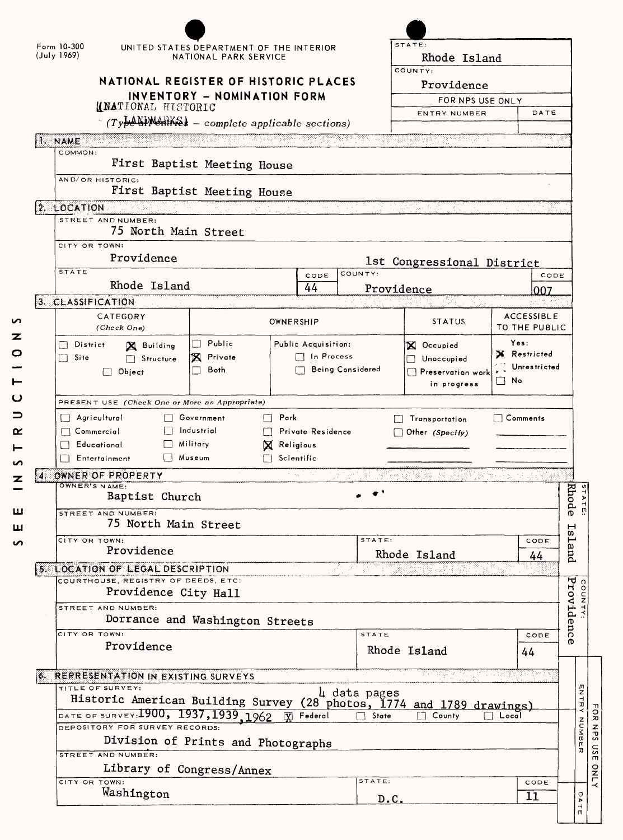| Form 10-300<br>UNITED STATES DEPARTMENT OF THE INTERIOR<br>(July 1969)<br>NATIONAL PARK SERVICE                       |                                                       |                         |                       |                           | STATE:<br>Rhode Island                                                |                   |            |
|-----------------------------------------------------------------------------------------------------------------------|-------------------------------------------------------|-------------------------|-----------------------|---------------------------|-----------------------------------------------------------------------|-------------------|------------|
|                                                                                                                       | NATIONAL REGISTER OF HISTORIC PLACES                  |                         | COUNTY:<br>Providence |                           |                                                                       |                   |            |
|                                                                                                                       | INVENTORY - NOMINATION FORM                           |                         |                       |                           |                                                                       |                   |            |
|                                                                                                                       | <b>(INATIONAL HISTORIC</b>                            |                         |                       |                           | FOR NPS USE ONLY<br>DATE<br>ENTRY NUMBER                              |                   |            |
|                                                                                                                       | $\sim$ (Type NPM-RKS) - complete applicable sections) |                         |                       |                           |                                                                       |                   |            |
| <b>IT ANNE</b> DE L'ANNE DE L'ANNE DE L'ANNE DE L'ANNE DE L'ANNE DE L'ANNE DE L'ANNE DE L'ANNE DE L'ANNE DE L'ANNE DE |                                                       |                         |                       |                           |                                                                       | 113. yn           |            |
| COMMON:                                                                                                               |                                                       |                         |                       |                           |                                                                       |                   |            |
|                                                                                                                       | First Baptist Meeting House                           |                         |                       |                           |                                                                       |                   |            |
| AND/OR HISTORIC:                                                                                                      | First Baptist Meeting House                           |                         |                       |                           |                                                                       |                   |            |
| 2. LOCATION                                                                                                           |                                                       |                         |                       | 나는 어디를 이 만든 거야 하나 보고 있었다. |                                                                       | XQ                |            |
| STREET AND NUMBER:                                                                                                    |                                                       |                         |                       |                           |                                                                       |                   |            |
|                                                                                                                       | 75 North Main Street                                  |                         |                       |                           |                                                                       |                   |            |
| CITY OR TOWN:                                                                                                         |                                                       |                         |                       |                           |                                                                       |                   |            |
| Providence                                                                                                            |                                                       |                         |                       |                           | 1st Congressional District                                            |                   |            |
| <b>STATE</b>                                                                                                          |                                                       |                         | CODE                  | COUNTY:                   |                                                                       | CODE              |            |
|                                                                                                                       | Rhode Island                                          |                         | 44                    |                           | Providence                                                            | 007               |            |
| 3. CLASSIFICATION                                                                                                     |                                                       |                         |                       |                           | 대학생 대<br>NG.                                                          | <b>ACCESSIBLE</b> |            |
| CATEGORY<br>(Check One)                                                                                               |                                                       |                         | OWNERSHIP             |                           | <b>STATUS</b>                                                         | TO THE PUBLIC     |            |
| District                                                                                                              | Public<br>X Building                                  |                         | Public Acquisition:   |                           | X Occupied                                                            | Yes:              |            |
| $\Box$ Site                                                                                                           | X Private<br>Structure                                |                         | $\Box$ In Process     |                           | Unoccupied                                                            | X Restricted      |            |
| $\Box$ Object                                                                                                         | Both                                                  |                         |                       | Being Considered          | $\Box$ Preservation work                                              | Unrestricted      |            |
|                                                                                                                       |                                                       |                         |                       |                           | in progress                                                           | $\Box$ No         |            |
| PRESENT USE (Check One or More as Appropriate)                                                                        |                                                       |                         |                       |                           |                                                                       |                   |            |
| Agricultural                                                                                                          | Government                                            | Park<br>П               |                       |                           | Transportation                                                        | $\Box$ Comments   |            |
| $\Box$ Commercial                                                                                                     | Industrial                                            |                         | Private Residence     |                           | $\Box$ Other (Specify)                                                |                   |            |
| Educational                                                                                                           | Military                                              | X.                      | Religious             |                           |                                                                       |                   |            |
| Entertainment                                                                                                         | □ Museum                                              |                         | Scientific            |                           |                                                                       |                   |            |
| OWNER OF PROPERTY<br>И.,<br>OWNER'S NAME:                                                                             |                                                       |                         |                       | -98                       | 아버지와 아직 있는 것 같아. 2019년 10월                                            |                   |            |
|                                                                                                                       | Baptist Church                                        |                         |                       |                           |                                                                       |                   | Rhode      |
| STREET AND NUMBER:                                                                                                    |                                                       |                         |                       |                           |                                                                       |                   |            |
|                                                                                                                       | 75 North Main Street                                  |                         |                       |                           |                                                                       |                   | Island     |
| сіту ов тоwм:                                                                                                         |                                                       |                         |                       |                           | STATE:<br>CODE<br>Rhode Island                                        |                   |            |
|                                                                                                                       | Providence                                            |                         |                       |                           |                                                                       | 44                |            |
| 5. LOCATION OF LEGAL DESCRIPTION<br>-al-<br>COURTHOUSE, REGISTRY OF DEEDS, ETC:                                       |                                                       |                         |                       |                           |                                                                       |                   |            |
|                                                                                                                       | Providence City Hall                                  |                         |                       |                           |                                                                       |                   |            |
| STREET AND NUMBER:                                                                                                    |                                                       |                         |                       |                           |                                                                       |                   |            |
|                                                                                                                       | Dorrance and Washington Streets                       |                         |                       |                           |                                                                       |                   |            |
| CITY OR TOWN:                                                                                                         |                                                       |                         |                       | <b>STATE</b>              |                                                                       | CODE              | Providence |
| Providence                                                                                                            |                                                       |                         |                       |                           | Rhode Island                                                          | 44                |            |
|                                                                                                                       |                                                       |                         |                       |                           |                                                                       | in vitan.         |            |
| 6. REPRESENTATION IN EXISTING SURVEYS<br>TITLE OF SURVEY:                                                             |                                                       |                         |                       |                           |                                                                       |                   |            |
|                                                                                                                       |                                                       |                         |                       | 4 data pages              | Historic American Building Survey (28 photos, 1774 and 1789 drawings) |                   |            |
| DATE OF SURVEY: 1900, 1937, 1939, 1962                                                                                |                                                       | $\overline{\mathbf{Y}}$ | Federal               | State                     | County                                                                | Local             |            |
| DEPOSITORY FOR SURVEY RECORDS:                                                                                        |                                                       |                         |                       |                           |                                                                       |                   |            |
|                                                                                                                       | Division of Prints and Photographs                    |                         |                       |                           |                                                                       |                   |            |
| STREET AND NUMBER:                                                                                                    |                                                       |                         |                       |                           |                                                                       |                   |            |
|                                                                                                                       |                                                       |                         |                       |                           |                                                                       |                   |            |
|                                                                                                                       | Library of Congress/Annex                             |                         |                       | STATE:                    |                                                                       |                   |            |
| CITY OR TOWN:<br>Washington                                                                                           |                                                       |                         |                       | D.C.                      |                                                                       | CODE<br>11        |            |

FOR NPS USE ONI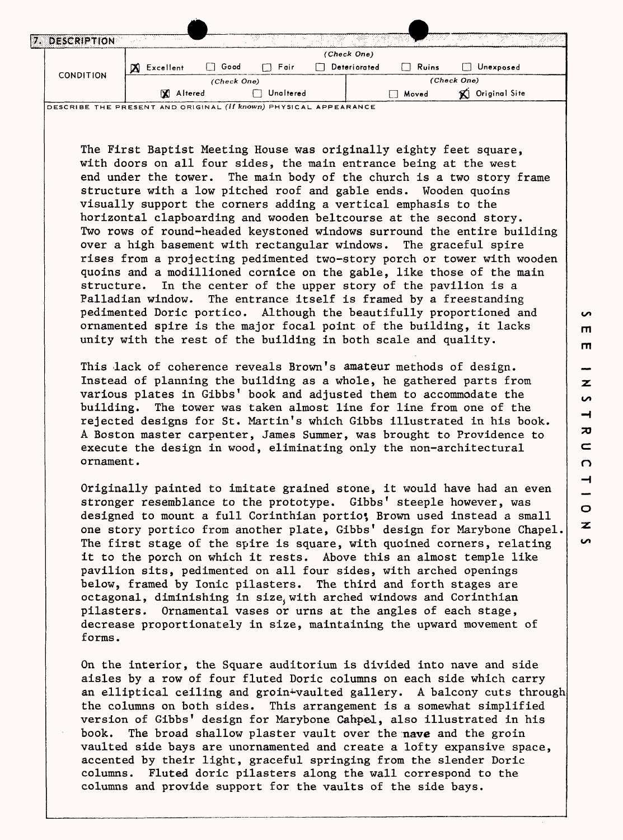| DESCRIPTION |                       |                |             |              | ta tanggalan sa<br><b>AND RESIDENT</b> | 1350)<br>and the    |  |
|-------------|-----------------------|----------------|-------------|--------------|----------------------------------------|---------------------|--|
|             |                       |                |             | (Check One)  |                                        |                     |  |
|             | <b>X</b><br>Excellent | Good<br>$\Box$ | □ Fair      | Deteriorated | $\Box$ Ruins                           | Unexposed           |  |
|             | <b>CONDITION</b>      |                | (Check One) |              |                                        | (Check One)         |  |
|             | <b>X</b> Altered      |                | Unaltered   |              | Moved                                  | Original Site<br>'X |  |

DESCRIBE THE PRESENT AND ORIGINAL *(if* **known)** PHYSICAL APPEARANCE

The First Baptist Meeting House was originally eighty feet square, with doors on all four sides, the main entrance being at the west end under the tower. The main body of the church is a two story frame structure with a low pitched roof and gable ends. Wooden quoins visually support the corners adding a vertical emphasis to the horizontal clapboarding and wooden beltcourse at the second story. Two rows of round-headed keystoned windows surround the entire building over a high basement with rectangular windows. The graceful spire rises from a projecting pedimented two-story porch or tower with wooden quoins and a modillioned cornice on the gable, like those of the main structure. In the center of the upper story of the pavilion is a Palladian window. The entrance itself is framed by a freestanding pedimented Doric portico. Although the beautifully proportioned and ornamented spire is the major focal point of the building, it lacks unity with the rest of the building in both scale and quality.

This lack of coherence reveals Brown's amateur methods of design. Instead of planning the building as a whole, he gathered parts from various plates in Gibbs' book and adjusted them to accommodate the building. The tower was taken almost line for line from one of the rejected designs for St. Martin's which Gibbs illustrated in his book. A Boston master carpenter, James Summer, was brought to Providence to execute the design in wood, eliminating only the non-architectural ornament.

Originally painted to imitate grained stone, it would have had an even stronger resemblance to the prototype. Gibbs' steeple however, was designed to mount a full Corinthian portio; Brown used instead a small one story portico from another plate, Gibbs' design for Marybone Chapel The first stage of the spire is square, with quoined corners, relating it to the porch on which it rests. Above this an almost temple like pavilion sits, pedimented on all four sides, with arched openings below, framed by Ionic pilasters. The third and forth stages are octagonal, diminishing in size with arched windows and Corinthian pilasters. Ornamental vases or urns at the angles of each stage, decrease proportionately in size, maintaining the upward movement of forms.

On the interior, the Square auditorium is divided into nave and side aisles by a row of four fluted Doric columns on each side which carry an elliptical ceiling and groin+vaulted gallery. A balcony cuts through the columns on both sides. This arrangement is a somewhat simplified version of Gibbs' design for Marybone Cahpel, also illustrated in his book. The broad shallow plaster vault over the nave and the groin vaulted side bays are unornamented and create a lofty expansive space, accented by their light, graceful springing from the slender Doric columns. Fluted doric pilasters along the wall correspond to the columns and provide support for the vaults of the side bays.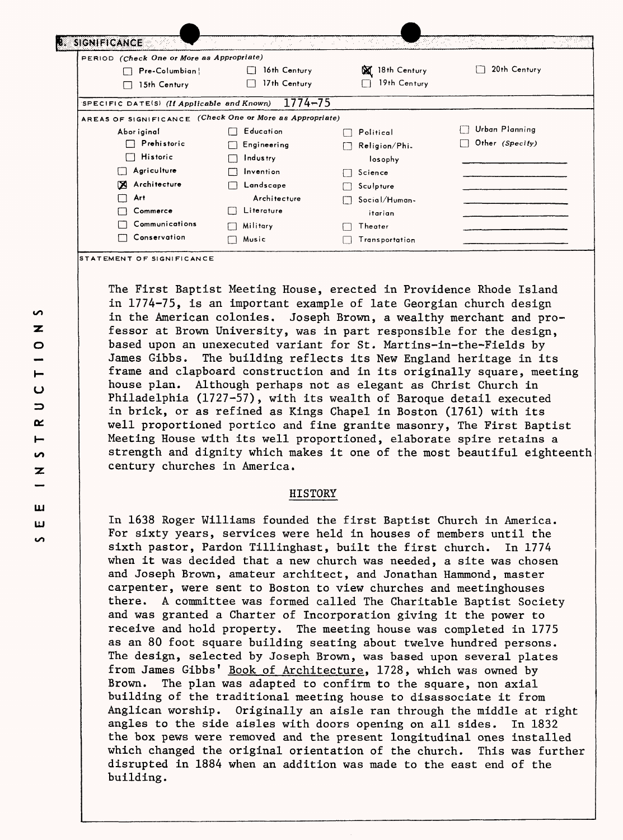| PERIOD (Check One or More as Appropriate)  |                                    |                   |                 |
|--------------------------------------------|------------------------------------|-------------------|-----------------|
| Pre-Columbian                              | 16th Century                       | 18th Century<br>⊠ | 20th Century    |
| 15th Century                               | 17th Century                       | 19th Century      |                 |
| SPECIFIC DATE(S) (If Applicable and Known) | $1774 - 75$                        |                   |                 |
| AREAS OF SIGNIFICANCE                      | (Check One or More as Appropriate) |                   |                 |
| Abor iginal                                | E ducati on                        | Political         | Urban Planning  |
| Prehistoric                                | Engineering                        | Religion/Phi.     | Other (Specify) |
| Historic                                   | Industry                           | losophy           |                 |
| Agriculture                                | Invention                          | Science           |                 |
| Architecture<br>K                          | Landscape                          | Sculpture         |                 |
| Art                                        | Architecture                       | Social/Human-     |                 |
| Commerce                                   | Literature                         | itarian           |                 |
| Communications                             | Military<br>l 1                    | Theater           |                 |
| Conservation                               | Music                              | Transportation    |                 |

The First Baptist Meeting House, erected in Providence Rhode Island in 1774-75, is an important example of late Georgian church design in the American colonies, Joseph Brown, a wealthy merchant and professor at Brown University, was in part responsible for the design, based upon an unexecuted variant for St. Martins-in-the-Fields by James Gibbs. The building reflects its New England heritage in its frame and clapboard construction and in its originally square, meeting house plan. Although perhaps not as elegant as Christ Church in Philadelphia (1727-57), with its wealth of Baroque detail executed in brick, or as refined as Kings Chapel in Boston (1761) with its well proportioned portico and fine granite masonry, The First Baptist Meeting House with its well proportioned, elaborate spire retains a strength and dignity which makes it one of the most beautiful eighteenth century churches in America.

## HISTORY

In 1638 Roger Williams founded the first Baptist Church in America. For sixty years, services were held in houses of members until the sixth pastor, Pardon Tillinghast, built the first church. In 1774 when it was decided that a new church was needed, a site was chosen and Joseph Brown, amateur architect, and Jonathan Hammond, master carpenter, were sent to Boston to view churches and meetinghouses there. A committee was formed called The Charitable Baptist Society and was granted a Charter of Incorporation giving it the power to receive and hold property. The meeting house was completed in 1775 as an 80 foot square building seating about twelve hundred persons. The design, selected by Joseph Brown, was based upon several plates from James Gibbs' Book of Architecture, 1728, which was owned by Brown. The plan was adapted to confirm to the square, non axial building of the traditional meeting house to disassociate it from Anglican worship. Originally an aisle ran through the middle at right angles to the side aisles with doors opening on all sides. In 1832 the box pews were removed and the present longitudinal ones installed which changed the original orientation of the church. This was further disrupted in 1884 when an addition was made to the east end of the building.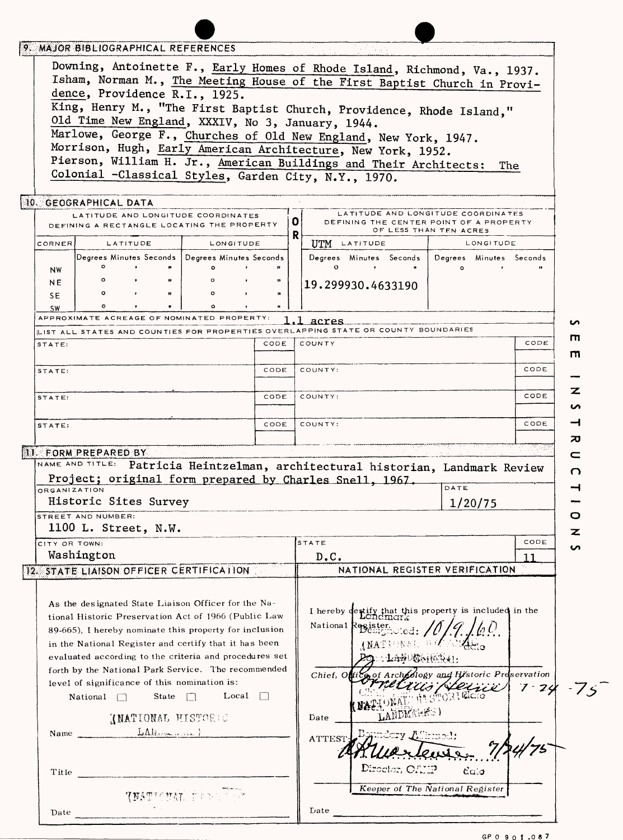| MAJOR BIBLIOGRAPHICAL REFERENCES                                                                                                                                                                                                                                                         |   |                                                                                                                        |                                         |                 |
|------------------------------------------------------------------------------------------------------------------------------------------------------------------------------------------------------------------------------------------------------------------------------------------|---|------------------------------------------------------------------------------------------------------------------------|-----------------------------------------|-----------------|
| Downing, Antoinette F., Early Homes of Rhode Island, Richmond, Va., 1937.<br>Isham, Norman M., The Meeting House of the First Baptist Church in Provi-<br>dence, Providence R.I., 1925.                                                                                                  |   |                                                                                                                        |                                         |                 |
| King, Henry M., "The First Baptist Church, Providence, Rhode Island,"<br>Old Time New England, XXXIV, No 3, January, 1944.<br>Marlowe, George F., Churches of Old New England, New York, 1947.                                                                                           |   |                                                                                                                        |                                         |                 |
| Morrison, Hugh, Early American Architecture, New York, 1952.                                                                                                                                                                                                                             |   |                                                                                                                        |                                         |                 |
| Pierson, William H. Jr., American Buildings and Their Architects:                                                                                                                                                                                                                        |   |                                                                                                                        | The                                     |                 |
| Colonial -Classical Styles, Garden City, N.Y., 1970.                                                                                                                                                                                                                                     |   |                                                                                                                        |                                         |                 |
| 10. GEOGRAPHICAL DATA                                                                                                                                                                                                                                                                    |   |                                                                                                                        |                                         |                 |
| LATITUDE AND LONGITUDE COORDINATES<br>DEFINING A RECTANGLE LOCATING THE PROPERTY                                                                                                                                                                                                         | 0 | LATITUDE AND LONGITUDE COORDINATES<br>DEFINING THE CENTER POINT OF A PROPERTY                                          | OF LESS THAN TEN ACRES                  |                 |
| CORNER<br><b>LATITUDE</b><br>LONGITUDE                                                                                                                                                                                                                                                   | R | UTM LATITUDE                                                                                                           | <b>LONGITUDE</b>                        |                 |
| Degrees Minutes Seconds   Degrees Minutes Seconds                                                                                                                                                                                                                                        |   | Degrees Minutes Seconds   Degrees Minutes Seconds                                                                      |                                         |                 |
| <b>NW</b>                                                                                                                                                                                                                                                                                |   | $\circ$                                                                                                                | $\circ$                                 |                 |
| NE                                                                                                                                                                                                                                                                                       |   | 19.299930.4633190                                                                                                      |                                         |                 |
| SE.<br><b>SW</b>                                                                                                                                                                                                                                                                         |   |                                                                                                                        |                                         |                 |
| APPROXIMATE ACREAGE OF NOMINATED PROPERTY:                                                                                                                                                                                                                                               |   | acres                                                                                                                  |                                         | n               |
| LIST ALL STATES AND COUNTIES FOR PROPERTIES OVERLAPPING STATE OR COUNTY BOUNDARIES                                                                                                                                                                                                       |   |                                                                                                                        |                                         | Ш<br>CODE       |
| CODE<br>STATE:                                                                                                                                                                                                                                                                           |   | COUNTY                                                                                                                 |                                         | m               |
| CODE<br>STATE:                                                                                                                                                                                                                                                                           |   | COUNTY:                                                                                                                |                                         | CODE            |
| CODE<br>STATE:                                                                                                                                                                                                                                                                           |   | COUNTY:                                                                                                                |                                         | z<br>CODE       |
|                                                                                                                                                                                                                                                                                          |   |                                                                                                                        |                                         | n               |
| CODE<br>STATE:                                                                                                                                                                                                                                                                           |   | COUNTY:                                                                                                                |                                         | ⊣<br>CODE       |
|                                                                                                                                                                                                                                                                                          |   |                                                                                                                        |                                         | ᅍ               |
| <b>II. FORM PREPARED BY</b>                                                                                                                                                                                                                                                              |   |                                                                                                                        |                                         | ⊂               |
| NAME AND TITLE: Patricia Heintzelman, architectural historian, Landmark Review<br>Project; original form prepared by Charles Snell, 1967.                                                                                                                                                |   |                                                                                                                        |                                         | റ               |
| ORGANIZATION                                                                                                                                                                                                                                                                             |   |                                                                                                                        | DATE                                    | ⊣               |
| Historic Sites Survey                                                                                                                                                                                                                                                                    |   |                                                                                                                        | 1/20/75                                 |                 |
| STREET AND NUMBER:                                                                                                                                                                                                                                                                       |   |                                                                                                                        |                                         |                 |
| 1100 L. Street, N.W.                                                                                                                                                                                                                                                                     |   |                                                                                                                        |                                         | z               |
| CITY OR TOWN:<br>Washington                                                                                                                                                                                                                                                              |   | STATE<br>D.C.                                                                                                          |                                         | CODE<br>ပ<br>11 |
| 12. STATE LIAISON OFFICER CERTIFICATION                                                                                                                                                                                                                                                  |   | NATIONAL REGISTER VERIFICATION                                                                                         |                                         |                 |
|                                                                                                                                                                                                                                                                                          |   |                                                                                                                        |                                         |                 |
| As the designated State Liaison Officer for the Na-<br>tional Historic Preservation Act of 1966 (Public Law<br>89-665). I hereby nominate this property for inclusion<br>in the National Register and certify that it has been<br>evaluated according to the criteria and procedures set |   | I hereby destify that this property is included in the<br>National Register<br>$-T\Phi\phi_1\phi_2\phi_3\phi_4\phi_1.$ |                                         |                 |
| forth by the National Park Service. The recommended                                                                                                                                                                                                                                      |   | Chief, O <b>ff</b> i                                                                                                   | of Archeology and Historic Preservation |                 |
| level of significance of this nomination is:<br>Local $\Box$<br>State $\Box$<br>National $\Box$                                                                                                                                                                                          |   |                                                                                                                        | tiis/4eirie/<br><b>HI STORT CLOSE</b>   | $7 - 24$        |
| <b>INATIONAL HISTORIE</b>                                                                                                                                                                                                                                                                |   | Date                                                                                                                   |                                         |                 |
| Name LAH                                                                                                                                                                                                                                                                                 |   | <b>ATTEST</b>                                                                                                          |                                         |                 |
| Title                                                                                                                                                                                                                                                                                    |   | Diroctor, OANP                                                                                                         | $ca.$ a                                 |                 |
| <b>TYATICUM</b> FENDE<br>Date                                                                                                                                                                                                                                                            |   | Date                                                                                                                   | Keeper of The National Register         |                 |
|                                                                                                                                                                                                                                                                                          |   |                                                                                                                        |                                         |                 |

**GP 0 901-087**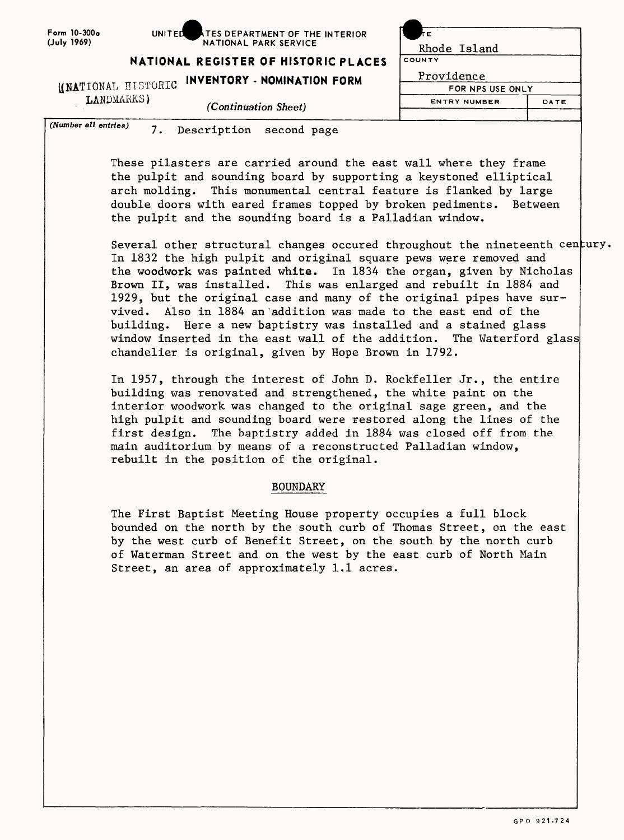| Form 10-300a |
|--------------|
| (July 1969)  |

UNITED **ATES DEPARTMENT OF THE INTERIOR** NATIONAL PARK SERVICE

| TΕ                  |      |
|---------------------|------|
| Rhode Island        |      |
| COUNTY              |      |
| Providence          |      |
| FOR NPS USE ONLY    |      |
| <b>ENTRY NUMBER</b> | DATE |
|                     |      |

**NATIONAL REGISTER OF HISTORIC PLACES** 

KNATIONAL HISTORIC **INVENTORY - NOMINATION FORM**

LANDMARKS}

*(Continuation Sheet)*

*(Number all entries)* 7. Description second page

These pilasters are carried around the east wall where they frame the pulpit and sounding board by supporting a keystoned elliptical arch molding. This monumental central feature is flanked by large double doors with eared frames topped by broken pediments. Between the pulpit and the sounding board is a Palladian window.

Several other structural changes occured throughout the nineteenth <code>century.</code> In 1832 the high pulpit and original square pews were removed and the woodwork was painted white. In 1834 the organ, given by Nicholas Brown II, was installed. This was enlarged and rebuilt in 1884 and 1929, but the original case and many of the original pipes have survived. Also in 1884 an'addition was made to the east end of the building. Here a new baptistry was installed and a stained glass window inserted in the east wall of the addition. The Waterford glass chandelier is original, given by Hope Brown in 1792.

In 1957, through the interest of John D. Rockfeller Jr., the entire building was renovated and strengthened, the white paint on the interior woodwork was changed to the original sage green, and the high pulpit and sounding board were restored along the lines of the first design. The baptistry added in 1884 was closed off from the main auditorium by means of a reconstructed Palladian window, rebuilt in the position of the original.

## BOUNDARY

The First Baptist Meeting House property occupies a full block bounded on the north by the south curb of Thomas Street, on the east by the west curb of Benefit Street, on the south by the north curb of Waterman Street and on the west by the east curb of North Main Street, an area of approximately 1.1 acres.